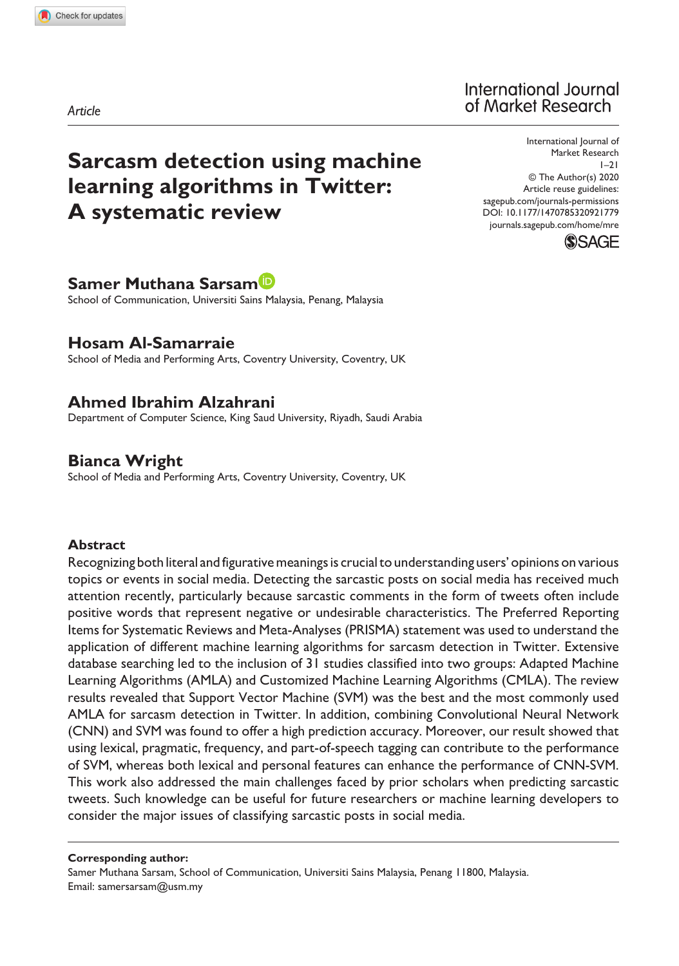# **Sarcasm detection using machine learning algorithms in Twitter: A systematic review**

# International Journal of Market Research

DOI: 10.1177/1470785320921779 International Journal of Market Research  $1-21$ © The Author(s) 2020 Article reuse guidelines: [sagepub.com/journals-permissions](https://uk.sagepub.com/en-gb/journals-permissions) [journals.sagepub.com/home/mre](https://journals.sagepub.com/home/mre)



## **Samer Muthana Sarsam**

School of Communication, Universiti Sains Malaysia, Penang, Malaysia

## **Hosam Al-Samarraie**

School of Media and Performing Arts, Coventry University, Coventry, UK

# **Ahmed Ibrahim Alzahrani**

Department of Computer Science, King Saud University, Riyadh, Saudi Arabia

# **Bianca Wright**

School of Media and Performing Arts, Coventry University, Coventry, UK

#### **Abstract**

Recognizing both literal and figurative meanings is crucial to understanding users' opinions on various topics or events in social media. Detecting the sarcastic posts on social media has received much attention recently, particularly because sarcastic comments in the form of tweets often include positive words that represent negative or undesirable characteristics. The Preferred Reporting Items for Systematic Reviews and Meta-Analyses (PRISMA) statement was used to understand the application of different machine learning algorithms for sarcasm detection in Twitter. Extensive database searching led to the inclusion of 31 studies classified into two groups: Adapted Machine Learning Algorithms (AMLA) and Customized Machine Learning Algorithms (CMLA). The review results revealed that Support Vector Machine (SVM) was the best and the most commonly used AMLA for sarcasm detection in Twitter. In addition, combining Convolutional Neural Network (CNN) and SVM was found to offer a high prediction accuracy. Moreover, our result showed that using lexical, pragmatic, frequency, and part-of-speech tagging can contribute to the performance of SVM, whereas both lexical and personal features can enhance the performance of CNN-SVM. This work also addressed the main challenges faced by prior scholars when predicting sarcastic tweets. Such knowledge can be useful for future researchers or machine learning developers to consider the major issues of classifying sarcastic posts in social media.

#### **Corresponding author:**

Samer Muthana Sarsam, School of Communication, Universiti Sains Malaysia, Penang 11800, Malaysia. Email: [samersarsam@usm.my](mailto:samersarsam@usm.my)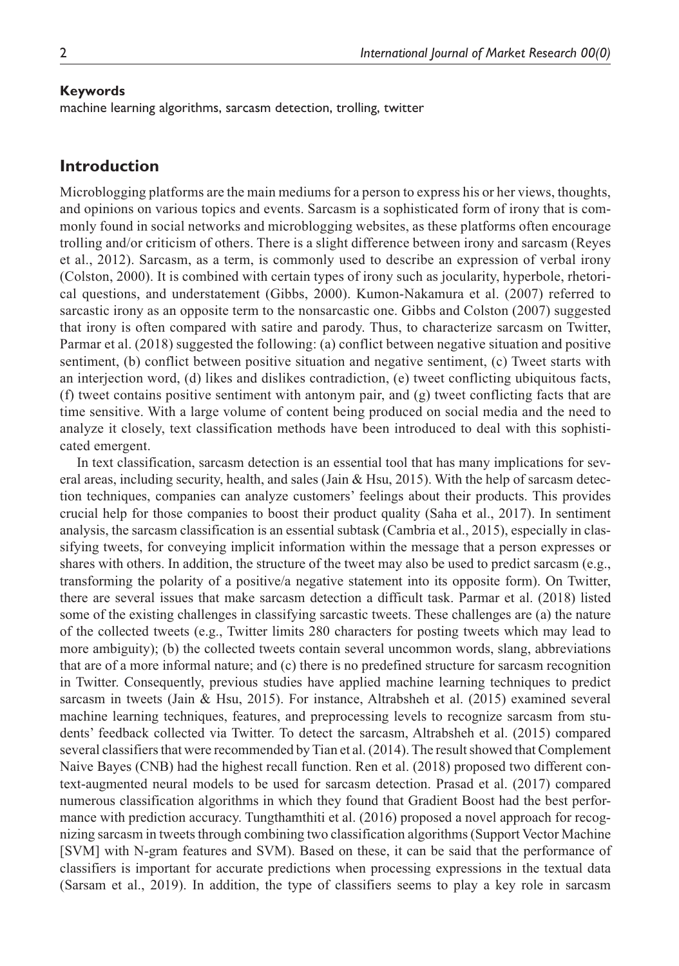#### **Keywords**

machine learning algorithms, sarcasm detection, trolling, twitter

## **Introduction**

Microblogging platforms are the main mediums for a person to express his or her views, thoughts, and opinions on various topics and events. Sarcasm is a sophisticated form of irony that is commonly found in social networks and microblogging websites, as these platforms often encourage trolling and/or criticism of others. There is a slight difference between irony and sarcasm (Reyes et al., 2012). Sarcasm, as a term, is commonly used to describe an expression of verbal irony (Colston, 2000). It is combined with certain types of irony such as jocularity, hyperbole, rhetorical questions, and understatement (Gibbs, 2000). Kumon-Nakamura et al. (2007) referred to sarcastic irony as an opposite term to the nonsarcastic one. Gibbs and Colston (2007) suggested that irony is often compared with satire and parody. Thus, to characterize sarcasm on Twitter, Parmar et al. (2018) suggested the following: (a) conflict between negative situation and positive sentiment, (b) conflict between positive situation and negative sentiment, (c) Tweet starts with an interjection word, (d) likes and dislikes contradiction, (e) tweet conflicting ubiquitous facts, (f) tweet contains positive sentiment with antonym pair, and (g) tweet conflicting facts that are time sensitive. With a large volume of content being produced on social media and the need to analyze it closely, text classification methods have been introduced to deal with this sophisticated emergent.

In text classification, sarcasm detection is an essential tool that has many implications for several areas, including security, health, and sales (Jain & Hsu, 2015). With the help of sarcasm detection techniques, companies can analyze customers' feelings about their products. This provides crucial help for those companies to boost their product quality (Saha et al., 2017). In sentiment analysis, the sarcasm classification is an essential subtask (Cambria et al., 2015), especially in classifying tweets, for conveying implicit information within the message that a person expresses or shares with others. In addition, the structure of the tweet may also be used to predict sarcasm (e.g., transforming the polarity of a positive/a negative statement into its opposite form). On Twitter, there are several issues that make sarcasm detection a difficult task. Parmar et al. (2018) listed some of the existing challenges in classifying sarcastic tweets. These challenges are (a) the nature of the collected tweets (e.g., Twitter limits 280 characters for posting tweets which may lead to more ambiguity); (b) the collected tweets contain several uncommon words, slang, abbreviations that are of a more informal nature; and (c) there is no predefined structure for sarcasm recognition in Twitter. Consequently, previous studies have applied machine learning techniques to predict sarcasm in tweets (Jain & Hsu, 2015). For instance, Altrabsheh et al. (2015) examined several machine learning techniques, features, and preprocessing levels to recognize sarcasm from students' feedback collected via Twitter. To detect the sarcasm, Altrabsheh et al. (2015) compared several classifiers that were recommended by Tian et al. (2014). The result showed that Complement Naive Bayes (CNB) had the highest recall function. Ren et al. (2018) proposed two different context-augmented neural models to be used for sarcasm detection. Prasad et al. (2017) compared numerous classification algorithms in which they found that Gradient Boost had the best performance with prediction accuracy. Tungthamthiti et al. (2016) proposed a novel approach for recognizing sarcasm in tweets through combining two classification algorithms (Support Vector Machine [SVM] with N-gram features and SVM). Based on these, it can be said that the performance of classifiers is important for accurate predictions when processing expressions in the textual data (Sarsam et al., 2019). In addition, the type of classifiers seems to play a key role in sarcasm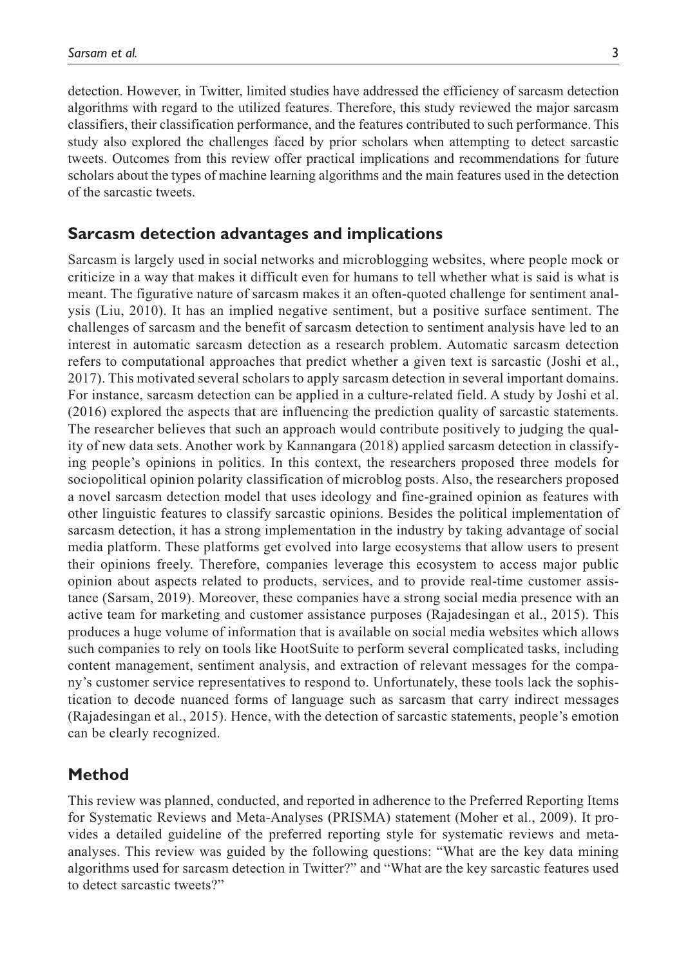of the sarcastic tweets.

detection. However, in Twitter, limited studies have addressed the efficiency of sarcasm detection algorithms with regard to the utilized features. Therefore, this study reviewed the major sarcasm classifiers, their classification performance, and the features contributed to such performance. This study also explored the challenges faced by prior scholars when attempting to detect sarcastic tweets. Outcomes from this review offer practical implications and recommendations for future scholars about the types of machine learning algorithms and the main features used in the detection

## **Sarcasm detection advantages and implications**

Sarcasm is largely used in social networks and microblogging websites, where people mock or criticize in a way that makes it difficult even for humans to tell whether what is said is what is meant. The figurative nature of sarcasm makes it an often-quoted challenge for sentiment analysis (Liu, 2010). It has an implied negative sentiment, but a positive surface sentiment. The challenges of sarcasm and the benefit of sarcasm detection to sentiment analysis have led to an interest in automatic sarcasm detection as a research problem. Automatic sarcasm detection refers to computational approaches that predict whether a given text is sarcastic (Joshi et al., 2017). This motivated several scholars to apply sarcasm detection in several important domains. For instance, sarcasm detection can be applied in a culture-related field. A study by Joshi et al. (2016) explored the aspects that are influencing the prediction quality of sarcastic statements. The researcher believes that such an approach would contribute positively to judging the quality of new data sets. Another work by Kannangara (2018) applied sarcasm detection in classifying people's opinions in politics. In this context, the researchers proposed three models for sociopolitical opinion polarity classification of microblog posts. Also, the researchers proposed a novel sarcasm detection model that uses ideology and fine-grained opinion as features with other linguistic features to classify sarcastic opinions. Besides the political implementation of sarcasm detection, it has a strong implementation in the industry by taking advantage of social media platform. These platforms get evolved into large ecosystems that allow users to present their opinions freely. Therefore, companies leverage this ecosystem to access major public opinion about aspects related to products, services, and to provide real-time customer assistance (Sarsam, 2019). Moreover, these companies have a strong social media presence with an active team for marketing and customer assistance purposes (Rajadesingan et al., 2015). This produces a huge volume of information that is available on social media websites which allows such companies to rely on tools like HootSuite to perform several complicated tasks, including content management, sentiment analysis, and extraction of relevant messages for the company's customer service representatives to respond to. Unfortunately, these tools lack the sophistication to decode nuanced forms of language such as sarcasm that carry indirect messages (Rajadesingan et al., 2015). Hence, with the detection of sarcastic statements, people's emotion can be clearly recognized.

# **Method**

This review was planned, conducted, and reported in adherence to the Preferred Reporting Items for Systematic Reviews and Meta-Analyses (PRISMA) statement (Moher et al., 2009). It provides a detailed guideline of the preferred reporting style for systematic reviews and metaanalyses. This review was guided by the following questions: "What are the key data mining algorithms used for sarcasm detection in Twitter?" and "What are the key sarcastic features used to detect sarcastic tweets?"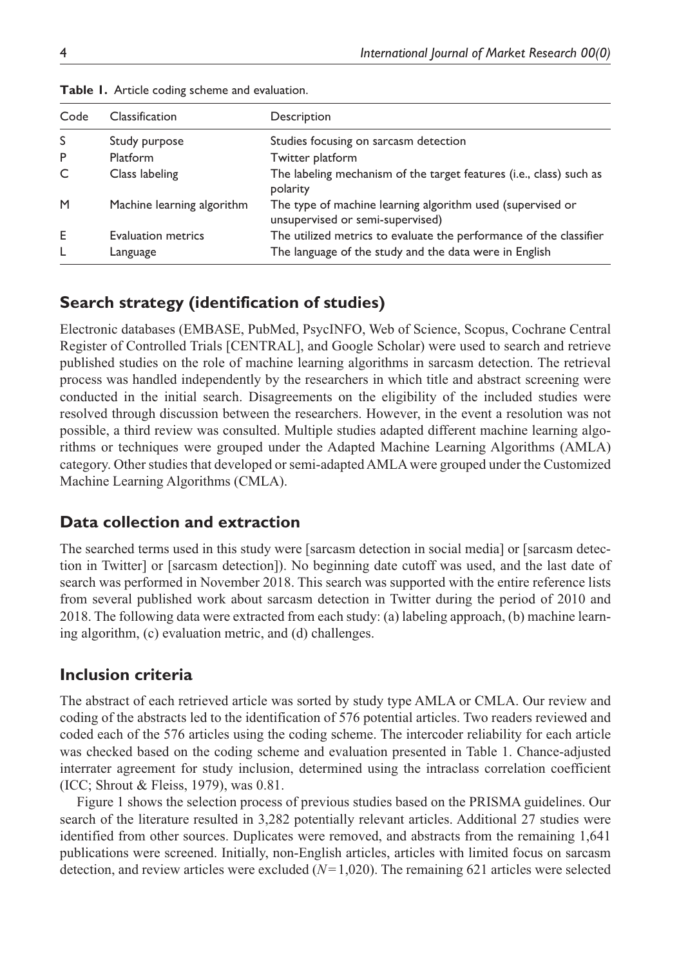| Code | Classification             | Description                                                                                    |
|------|----------------------------|------------------------------------------------------------------------------------------------|
| S    | Study purpose              | Studies focusing on sarcasm detection                                                          |
| P    | <b>Platform</b>            | Twitter platform                                                                               |
| C    | Class labeling             | The labeling mechanism of the target features (i.e., class) such as<br>polarity                |
| M    | Machine learning algorithm | The type of machine learning algorithm used (supervised or<br>unsupervised or semi-supervised) |
| E    | <b>Evaluation metrics</b>  | The utilized metrics to evaluate the performance of the classifier                             |
| L    | Language                   | The language of the study and the data were in English                                         |

|  |  |  | Table 1. Article coding scheme and evaluation. |
|--|--|--|------------------------------------------------|
|  |  |  |                                                |

# **Search strategy (identification of studies)**

Electronic databases (EMBASE, PubMed, PsycINFO, Web of Science, Scopus, Cochrane Central Register of Controlled Trials [CENTRAL], and Google Scholar) were used to search and retrieve published studies on the role of machine learning algorithms in sarcasm detection. The retrieval process was handled independently by the researchers in which title and abstract screening were conducted in the initial search. Disagreements on the eligibility of the included studies were resolved through discussion between the researchers. However, in the event a resolution was not possible, a third review was consulted. Multiple studies adapted different machine learning algorithms or techniques were grouped under the Adapted Machine Learning Algorithms (AMLA) category. Other studies that developed or semi-adapted AMLA were grouped under the Customized Machine Learning Algorithms (CMLA).

# **Data collection and extraction**

The searched terms used in this study were [sarcasm detection in social media] or [sarcasm detection in Twitter] or [sarcasm detection]). No beginning date cutoff was used, and the last date of search was performed in November 2018. This search was supported with the entire reference lists from several published work about sarcasm detection in Twitter during the period of 2010 and 2018. The following data were extracted from each study: (a) labeling approach, (b) machine learning algorithm, (c) evaluation metric, and (d) challenges.

# **Inclusion criteria**

The abstract of each retrieved article was sorted by study type AMLA or CMLA. Our review and coding of the abstracts led to the identification of 576 potential articles. Two readers reviewed and coded each of the 576 articles using the coding scheme. The intercoder reliability for each article was checked based on the coding scheme and evaluation presented in Table 1. Chance-adjusted interrater agreement for study inclusion, determined using the intraclass correlation coefficient (ICC; Shrout & Fleiss, 1979), was 0.81.

Figure 1 shows the selection process of previous studies based on the PRISMA guidelines. Our search of the literature resulted in 3,282 potentially relevant articles. Additional 27 studies were identified from other sources. Duplicates were removed, and abstracts from the remaining 1,641 publications were screened. Initially, non-English articles, articles with limited focus on sarcasm detection, and review articles were excluded (*N*=1,020). The remaining 621 articles were selected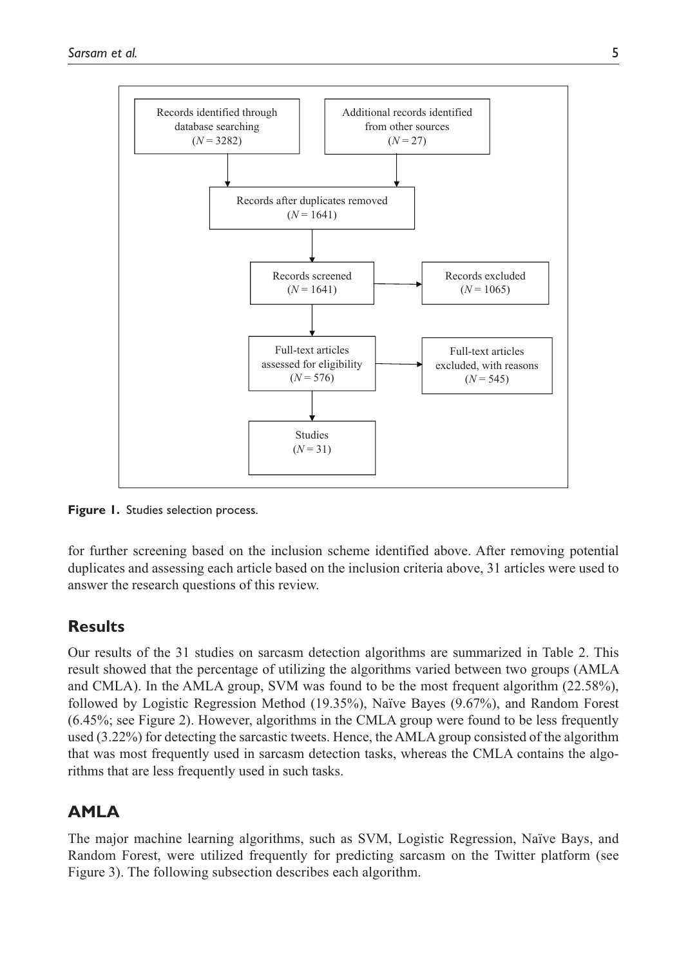

**Figure 1.** Studies selection process.

for further screening based on the inclusion scheme identified above. After removing potential duplicates and assessing each article based on the inclusion criteria above, 31 articles were used to answer the research questions of this review.

# **Results**

Our results of the 31 studies on sarcasm detection algorithms are summarized in Table 2. This result showed that the percentage of utilizing the algorithms varied between two groups (AMLA and CMLA). In the AMLA group, SVM was found to be the most frequent algorithm (22.58%), followed by Logistic Regression Method (19.35%), Naïve Bayes (9.67%), and Random Forest  $(6.45\%$ ; see Figure 2). However, algorithms in the CMLA group were found to be less frequently used (3.22%) for detecting the sarcastic tweets. Hence, the AMLA group consisted of the algorithm that was most frequently used in sarcasm detection tasks, whereas the CMLA contains the algorithms that are less frequently used in such tasks.

# **AMLA**

The major machine learning algorithms, such as SVM, Logistic Regression, Naïve Bays, and Random Forest, were utilized frequently for predicting sarcasm on the Twitter platform (see Figure 3). The following subsection describes each algorithm.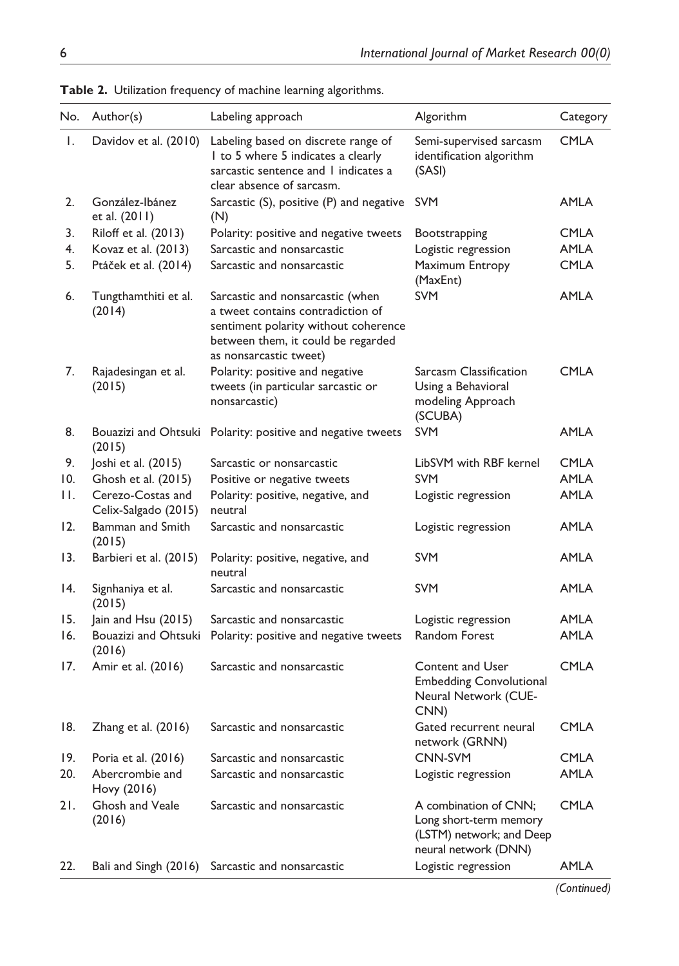| No. | Author(s)                                 | Labeling approach                                                                                                                                                             | Algorithm                                                                                           | Category    |
|-----|-------------------------------------------|-------------------------------------------------------------------------------------------------------------------------------------------------------------------------------|-----------------------------------------------------------------------------------------------------|-------------|
| Ι.  | Davidov et al. (2010)                     | Labeling based on discrete range of<br>I to 5 where 5 indicates a clearly<br>sarcastic sentence and I indicates a<br>clear absence of sarcasm.                                | Semi-supervised sarcasm<br>identification algorithm<br>(SASI)                                       | <b>CMLA</b> |
| 2.  | González-Ibánez<br>et al. (2011)          | Sarcastic (S), positive (P) and negative<br>(N)                                                                                                                               | <b>SVM</b>                                                                                          | AMLA        |
| 3.  | Riloff et al. (2013)                      | Polarity: positive and negative tweets                                                                                                                                        | Bootstrapping                                                                                       | CMLA        |
| 4.  | Kovaz et al. (2013)                       | Sarcastic and nonsarcastic                                                                                                                                                    | Logistic regression                                                                                 | <b>AMLA</b> |
| 5.  | Ptáček et al. (2014)                      | Sarcastic and nonsarcastic                                                                                                                                                    | Maximum Entropy<br>(MaxEnt)                                                                         | <b>CMLA</b> |
| 6.  | Tungthamthiti et al.<br>(2014)            | Sarcastic and nonsarcastic (when<br>a tweet contains contradiction of<br>sentiment polarity without coherence<br>between them, it could be regarded<br>as nonsarcastic tweet) | <b>SVM</b>                                                                                          | <b>AMLA</b> |
| 7.  | Rajadesingan et al.<br>(2015)             | Polarity: positive and negative<br>tweets (in particular sarcastic or<br>nonsarcastic)                                                                                        | Sarcasm Classification<br>Using a Behavioral<br>modeling Approach<br>(SCUBA)                        | <b>CMLA</b> |
| 8.  | (2015)                                    | Bouazizi and Ohtsuki Polarity: positive and negative tweets                                                                                                                   | <b>SVM</b>                                                                                          | AMLA        |
| 9.  | Joshi et al. (2015)                       | Sarcastic or nonsarcastic                                                                                                                                                     | LibSVM with RBF kernel                                                                              | <b>CMLA</b> |
| 10. | Ghosh et al. (2015)                       | Positive or negative tweets                                                                                                                                                   | <b>SVM</b>                                                                                          | <b>AMLA</b> |
| Н.  | Cerezo-Costas and<br>Celix-Salgado (2015) | Polarity: positive, negative, and<br>neutral                                                                                                                                  | Logistic regression                                                                                 | AMLA        |
| 12. | Bamman and Smith<br>(2015)                | Sarcastic and nonsarcastic                                                                                                                                                    | Logistic regression                                                                                 | AMLA        |
| 13. | Barbieri et al. (2015)                    | Polarity: positive, negative, and<br>neutral                                                                                                                                  | <b>SVM</b>                                                                                          | AMLA        |
| 14. | Signhaniya et al.<br>(2015)               | Sarcastic and nonsarcastic                                                                                                                                                    | <b>SVM</b>                                                                                          | AMLA        |
| 15. | Jain and Hsu (2015)                       | Sarcastic and nonsarcastic                                                                                                                                                    | Logistic regression                                                                                 | AMLA        |
| 16. | Bouazizi and Ohtsuki<br>(2016)            | Polarity: positive and negative tweets                                                                                                                                        | Random Forest                                                                                       | AMLA        |
| 17. | Amir et al. (2016)                        | Sarcastic and nonsarcastic                                                                                                                                                    | Content and User<br><b>Embedding Convolutional</b><br>Neural Network (CUE-<br>CNN)                  | <b>CMLA</b> |
| 18. | Zhang et al. (2016)                       | Sarcastic and nonsarcastic                                                                                                                                                    | Gated recurrent neural<br>network (GRNN)                                                            | <b>CMLA</b> |
| 19. | Poria et al. (2016)                       | Sarcastic and nonsarcastic                                                                                                                                                    | <b>CNN-SVM</b>                                                                                      | <b>CMLA</b> |
| 20. | Abercrombie and<br>Hovy (2016)            | Sarcastic and nonsarcastic                                                                                                                                                    | Logistic regression                                                                                 | <b>AMLA</b> |
| 21. | Ghosh and Veale<br>(2016)                 | Sarcastic and nonsarcastic                                                                                                                                                    | A combination of CNN:<br>Long short-term memory<br>(LSTM) network; and Deep<br>neural network (DNN) | <b>CMLA</b> |
| 22. | Bali and Singh (2016)                     | Sarcastic and nonsarcastic                                                                                                                                                    | Logistic regression                                                                                 | AMLA        |

**Table 2.** Utilization frequency of machine learning algorithms.

 *(Continued)*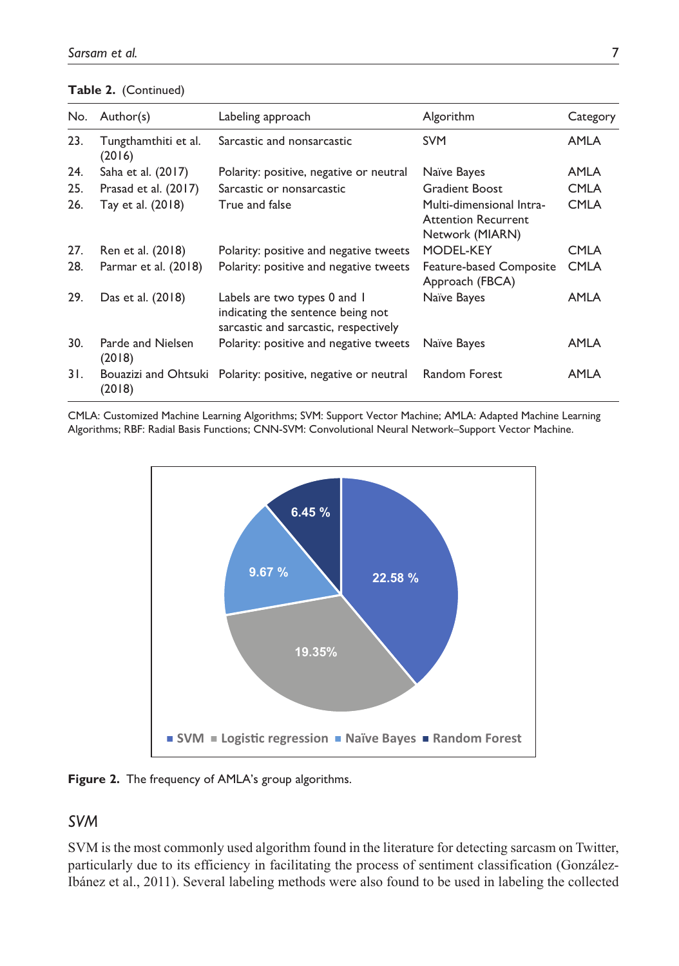|  | Table 2. (Continued) |
|--|----------------------|
|--|----------------------|

| No. | Author(s)                      | Labeling approach                                                                                          | Algorithm                                                                 | Category    |
|-----|--------------------------------|------------------------------------------------------------------------------------------------------------|---------------------------------------------------------------------------|-------------|
| 23. | Tungthamthiti et al.<br>(2016) | Sarcastic and nonsarcastic                                                                                 | <b>SVM</b>                                                                | <b>AMLA</b> |
| 24. | Saha et al. (2017)             | Polarity: positive, negative or neutral                                                                    | Naïve Bayes                                                               | <b>AMLA</b> |
| 25. | Prasad et al. (2017)           | Sarcastic or nonsarcastic                                                                                  | <b>Gradient Boost</b>                                                     | <b>CMLA</b> |
| 26. | Tay et al. (2018)              | True and false                                                                                             | Multi-dimensional Intra-<br><b>Attention Recurrent</b><br>Network (MIARN) | <b>CMLA</b> |
| 27. | Ren et al. (2018)              | Polarity: positive and negative tweets                                                                     | MODEL-KEY                                                                 | <b>CMLA</b> |
| 28. | Parmar et al. (2018)           | Polarity: positive and negative tweets                                                                     | Feature-based Composite<br>Approach (FBCA)                                | <b>CMLA</b> |
| 29. | Das et al. (2018)              | Labels are two types 0 and 1<br>indicating the sentence being not<br>sarcastic and sarcastic, respectively | Naïve Bayes                                                               | <b>AMLA</b> |
| 30. | Parde and Nielsen<br>(2018)    | Polarity: positive and negative tweets                                                                     | Naïve Bayes                                                               | AMLA        |
| 31. | Bouazizi and Ohtsuki<br>(2018) | Polarity: positive, negative or neutral                                                                    | <b>Random Forest</b>                                                      | AMLA        |

CMLA: Customized Machine Learning Algorithms; SVM: Support Vector Machine; AMLA: Adapted Machine Learning Algorithms; RBF: Radial Basis Functions; CNN-SVM: Convolutional Neural Network–Support Vector Machine.



**Figure 2.** The frequency of AMLA's group algorithms.

# *SVM*

SVM is the most commonly used algorithm found in the literature for detecting sarcasm on Twitter, particularly due to its efficiency in facilitating the process of sentiment classification (González-Ibánez et al., 2011). Several labeling methods were also found to be used in labeling the collected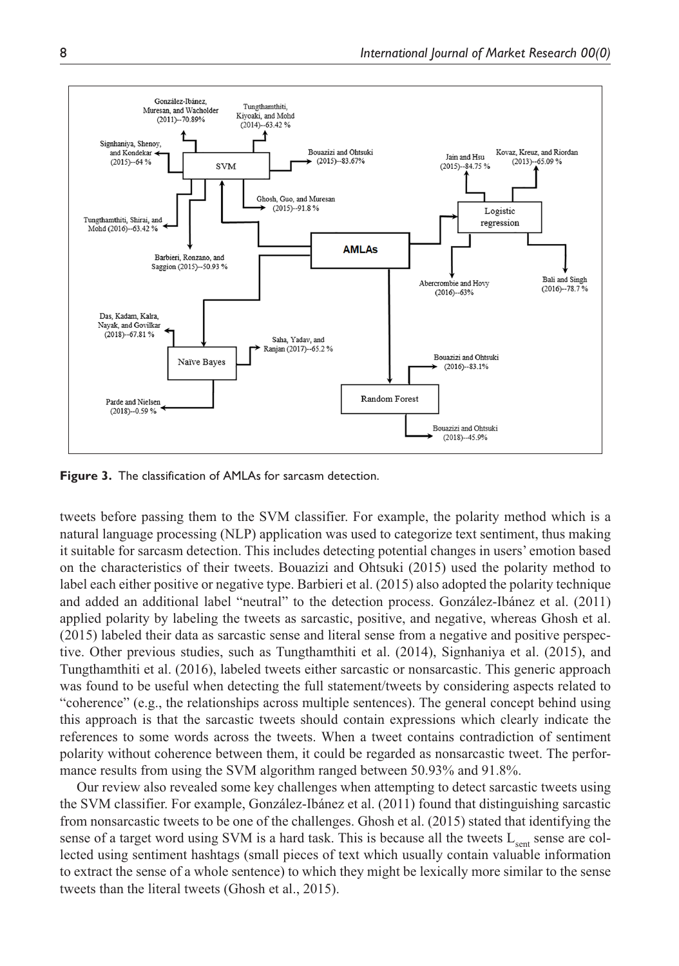

**Figure 3.** The classification of AMLAs for sarcasm detection.

tweets before passing them to the SVM classifier. For example, the polarity method which is a natural language processing (NLP) application was used to categorize text sentiment, thus making it suitable for sarcasm detection. This includes detecting potential changes in users' emotion based on the characteristics of their tweets. Bouazizi and Ohtsuki (2015) used the polarity method to label each either positive or negative type. Barbieri et al. (2015) also adopted the polarity technique and added an additional label "neutral" to the detection process. González-Ibánez et al. (2011) applied polarity by labeling the tweets as sarcastic, positive, and negative, whereas Ghosh et al. (2015) labeled their data as sarcastic sense and literal sense from a negative and positive perspective. Other previous studies, such as Tungthamthiti et al. (2014), Signhaniya et al. (2015), and Tungthamthiti et al. (2016), labeled tweets either sarcastic or nonsarcastic. This generic approach was found to be useful when detecting the full statement/tweets by considering aspects related to "coherence" (e.g., the relationships across multiple sentences). The general concept behind using this approach is that the sarcastic tweets should contain expressions which clearly indicate the references to some words across the tweets. When a tweet contains contradiction of sentiment polarity without coherence between them, it could be regarded as nonsarcastic tweet. The performance results from using the SVM algorithm ranged between 50.93% and 91.8%.

Our review also revealed some key challenges when attempting to detect sarcastic tweets using the SVM classifier. For example, González-Ibánez et al. (2011) found that distinguishing sarcastic from nonsarcastic tweets to be one of the challenges. Ghosh et al. (2015) stated that identifying the sense of a target word using SVM is a hard task. This is because all the tweets  $L_{\text{sent}}$  sense are collected using sentiment hashtags (small pieces of text which usually contain valuable information to extract the sense of a whole sentence) to which they might be lexically more similar to the sense tweets than the literal tweets (Ghosh et al., 2015).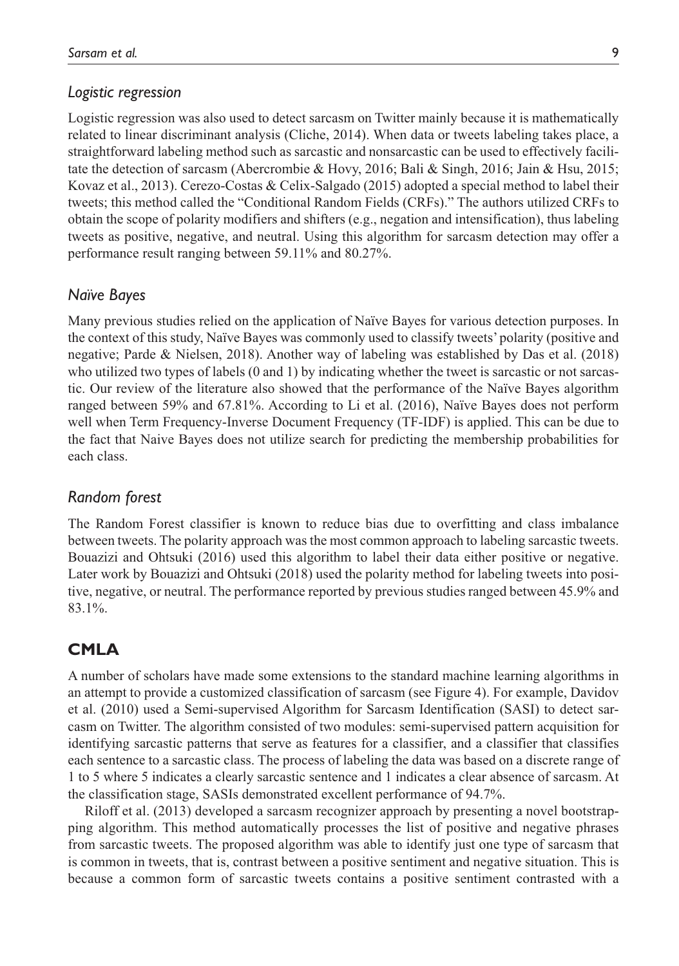#### *Logistic regression*

Logistic regression was also used to detect sarcasm on Twitter mainly because it is mathematically related to linear discriminant analysis (Cliche, 2014). When data or tweets labeling takes place, a straightforward labeling method such as sarcastic and nonsarcastic can be used to effectively facilitate the detection of sarcasm (Abercrombie & Hovy, 2016; Bali & Singh, 2016; Jain & Hsu, 2015; Kovaz et al., 2013). Cerezo-Costas & Celix-Salgado (2015) adopted a special method to label their tweets; this method called the "Conditional Random Fields (CRFs)." The authors utilized CRFs to obtain the scope of polarity modifiers and shifters (e.g., negation and intensification), thus labeling tweets as positive, negative, and neutral. Using this algorithm for sarcasm detection may offer a performance result ranging between 59.11% and 80.27%.

#### *Naïve Bayes*

Many previous studies relied on the application of Naïve Bayes for various detection purposes. In the context of this study, Naïve Bayes was commonly used to classify tweets' polarity (positive and negative; Parde & Nielsen, 2018). Another way of labeling was established by Das et al. (2018) who utilized two types of labels (0 and 1) by indicating whether the tweet is sarcastic or not sarcastic. Our review of the literature also showed that the performance of the Naïve Bayes algorithm ranged between 59% and 67.81%. According to Li et al. (2016), Naïve Bayes does not perform well when Term Frequency-Inverse Document Frequency (TF-IDF) is applied. This can be due to the fact that Naive Bayes does not utilize search for predicting the membership probabilities for each class.

#### *Random forest*

The Random Forest classifier is known to reduce bias due to overfitting and class imbalance between tweets. The polarity approach was the most common approach to labeling sarcastic tweets. Bouazizi and Ohtsuki (2016) used this algorithm to label their data either positive or negative. Later work by Bouazizi and Ohtsuki (2018) used the polarity method for labeling tweets into positive, negative, or neutral. The performance reported by previous studies ranged between 45.9% and 83.1%.

## **CMLA**

A number of scholars have made some extensions to the standard machine learning algorithms in an attempt to provide a customized classification of sarcasm (see Figure 4). For example, Davidov et al. (2010) used a Semi-supervised Algorithm for Sarcasm Identification (SASI) to detect sarcasm on Twitter. The algorithm consisted of two modules: semi-supervised pattern acquisition for identifying sarcastic patterns that serve as features for a classifier, and a classifier that classifies each sentence to a sarcastic class. The process of labeling the data was based on a discrete range of 1 to 5 where 5 indicates a clearly sarcastic sentence and 1 indicates a clear absence of sarcasm. At the classification stage, SASIs demonstrated excellent performance of 94.7%.

Riloff et al. (2013) developed a sarcasm recognizer approach by presenting a novel bootstrapping algorithm. This method automatically processes the list of positive and negative phrases from sarcastic tweets. The proposed algorithm was able to identify just one type of sarcasm that is common in tweets, that is, contrast between a positive sentiment and negative situation. This is because a common form of sarcastic tweets contains a positive sentiment contrasted with a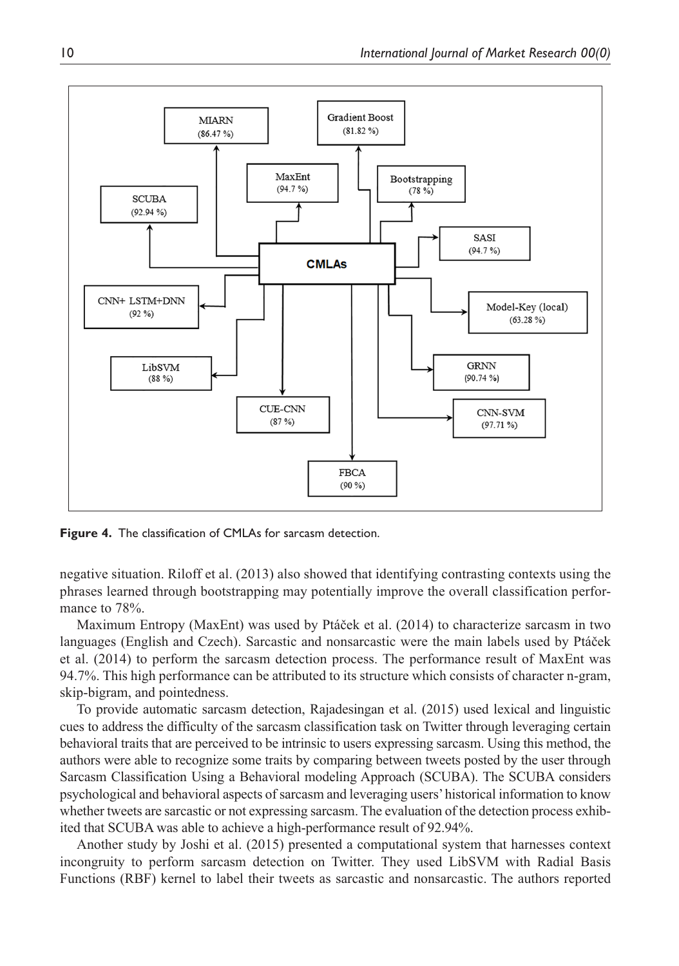

**Figure 4.** The classification of CMLAs for sarcasm detection.

negative situation. Riloff et al. (2013) also showed that identifying contrasting contexts using the phrases learned through bootstrapping may potentially improve the overall classification performance to 78%.

Maximum Entropy (MaxEnt) was used by Ptáček et al. (2014) to characterize sarcasm in two languages (English and Czech). Sarcastic and nonsarcastic were the main labels used by Ptáček et al. (2014) to perform the sarcasm detection process. The performance result of MaxEnt was 94.7%. This high performance can be attributed to its structure which consists of character n-gram, skip-bigram, and pointedness.

To provide automatic sarcasm detection, Rajadesingan et al. (2015) used lexical and linguistic cues to address the difficulty of the sarcasm classification task on Twitter through leveraging certain behavioral traits that are perceived to be intrinsic to users expressing sarcasm. Using this method, the authors were able to recognize some traits by comparing between tweets posted by the user through Sarcasm Classification Using a Behavioral modeling Approach (SCUBA). The SCUBA considers psychological and behavioral aspects of sarcasm and leveraging users' historical information to know whether tweets are sarcastic or not expressing sarcasm. The evaluation of the detection process exhibited that SCUBA was able to achieve a high-performance result of 92.94%.

Another study by Joshi et al. (2015) presented a computational system that harnesses context incongruity to perform sarcasm detection on Twitter. They used LibSVM with Radial Basis Functions (RBF) kernel to label their tweets as sarcastic and nonsarcastic. The authors reported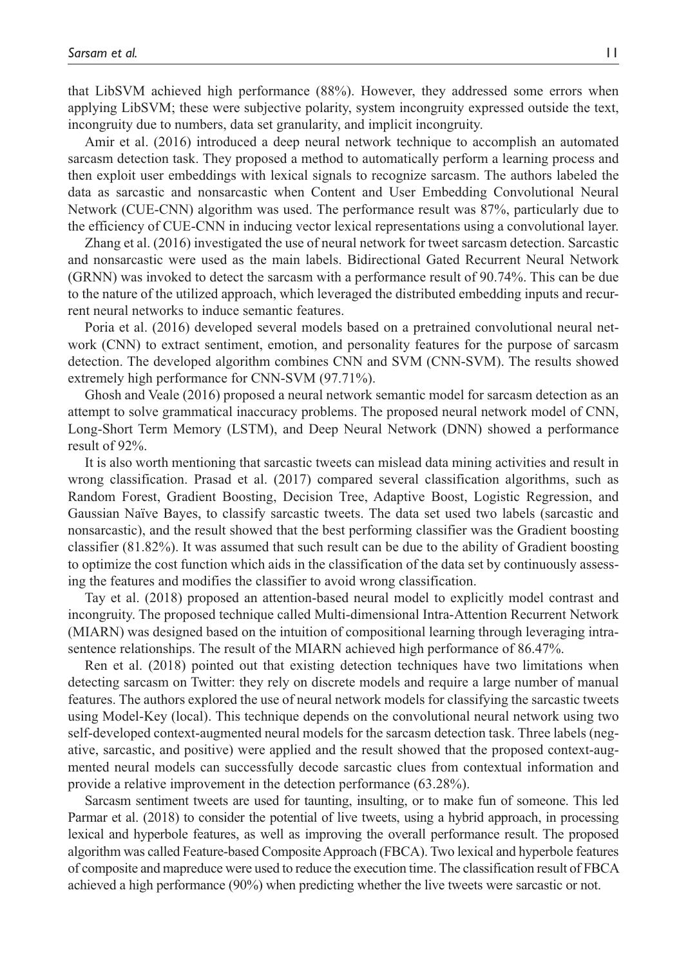that LibSVM achieved high performance (88%). However, they addressed some errors when applying LibSVM; these were subjective polarity, system incongruity expressed outside the text, incongruity due to numbers, data set granularity, and implicit incongruity.

Amir et al. (2016) introduced a deep neural network technique to accomplish an automated sarcasm detection task. They proposed a method to automatically perform a learning process and then exploit user embeddings with lexical signals to recognize sarcasm. The authors labeled the data as sarcastic and nonsarcastic when Content and User Embedding Convolutional Neural Network (CUE-CNN) algorithm was used. The performance result was 87%, particularly due to the efficiency of CUE-CNN in inducing vector lexical representations using a convolutional layer.

Zhang et al. (2016) investigated the use of neural network for tweet sarcasm detection. Sarcastic and nonsarcastic were used as the main labels. Bidirectional Gated Recurrent Neural Network (GRNN) was invoked to detect the sarcasm with a performance result of 90.74%. This can be due to the nature of the utilized approach, which leveraged the distributed embedding inputs and recurrent neural networks to induce semantic features.

Poria et al. (2016) developed several models based on a pretrained convolutional neural network (CNN) to extract sentiment, emotion, and personality features for the purpose of sarcasm detection. The developed algorithm combines CNN and SVM (CNN-SVM). The results showed extremely high performance for CNN-SVM (97.71%).

Ghosh and Veale (2016) proposed a neural network semantic model for sarcasm detection as an attempt to solve grammatical inaccuracy problems. The proposed neural network model of CNN, Long-Short Term Memory (LSTM), and Deep Neural Network (DNN) showed a performance result of 92%.

It is also worth mentioning that sarcastic tweets can mislead data mining activities and result in wrong classification. Prasad et al. (2017) compared several classification algorithms, such as Random Forest, Gradient Boosting, Decision Tree, Adaptive Boost, Logistic Regression, and Gaussian Naïve Bayes, to classify sarcastic tweets. The data set used two labels (sarcastic and nonsarcastic), and the result showed that the best performing classifier was the Gradient boosting classifier (81.82%). It was assumed that such result can be due to the ability of Gradient boosting to optimize the cost function which aids in the classification of the data set by continuously assessing the features and modifies the classifier to avoid wrong classification.

Tay et al. (2018) proposed an attention-based neural model to explicitly model contrast and incongruity. The proposed technique called Multi-dimensional Intra-Attention Recurrent Network (MIARN) was designed based on the intuition of compositional learning through leveraging intrasentence relationships. The result of the MIARN achieved high performance of 86.47%.

Ren et al. (2018) pointed out that existing detection techniques have two limitations when detecting sarcasm on Twitter: they rely on discrete models and require a large number of manual features. The authors explored the use of neural network models for classifying the sarcastic tweets using Model-Key (local). This technique depends on the convolutional neural network using two self-developed context-augmented neural models for the sarcasm detection task. Three labels (negative, sarcastic, and positive) were applied and the result showed that the proposed context-augmented neural models can successfully decode sarcastic clues from contextual information and provide a relative improvement in the detection performance (63.28%).

Sarcasm sentiment tweets are used for taunting, insulting, or to make fun of someone. This led Parmar et al. (2018) to consider the potential of live tweets, using a hybrid approach, in processing lexical and hyperbole features, as well as improving the overall performance result. The proposed algorithm was called Feature-based Composite Approach (FBCA). Two lexical and hyperbole features of composite and mapreduce were used to reduce the execution time. The classification result of FBCA achieved a high performance (90%) when predicting whether the live tweets were sarcastic or not.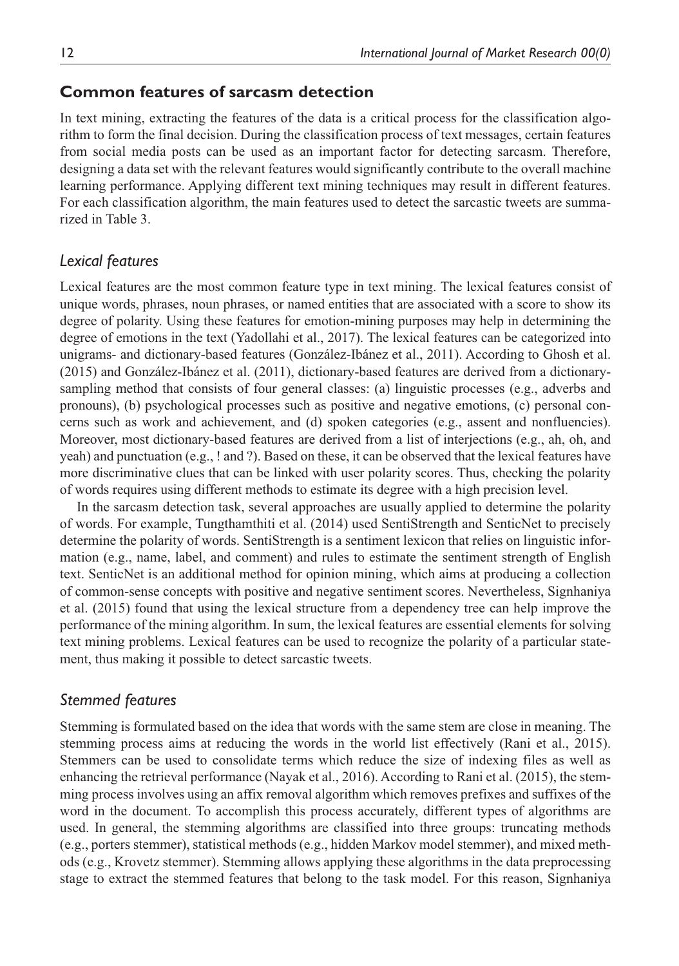## **Common features of sarcasm detection**

In text mining, extracting the features of the data is a critical process for the classification algorithm to form the final decision. During the classification process of text messages, certain features from social media posts can be used as an important factor for detecting sarcasm. Therefore, designing a data set with the relevant features would significantly contribute to the overall machine learning performance. Applying different text mining techniques may result in different features. For each classification algorithm, the main features used to detect the sarcastic tweets are summarized in Table 3.

#### *Lexical features*

Lexical features are the most common feature type in text mining. The lexical features consist of unique words, phrases, noun phrases, or named entities that are associated with a score to show its degree of polarity. Using these features for emotion-mining purposes may help in determining the degree of emotions in the text (Yadollahi et al., 2017). The lexical features can be categorized into unigrams- and dictionary-based features (González-Ibánez et al., 2011). According to Ghosh et al. (2015) and González-Ibánez et al. (2011), dictionary-based features are derived from a dictionarysampling method that consists of four general classes: (a) linguistic processes (e.g., adverbs and pronouns), (b) psychological processes such as positive and negative emotions, (c) personal concerns such as work and achievement, and (d) spoken categories (e.g., assent and nonfluencies). Moreover, most dictionary-based features are derived from a list of interjections (e.g., ah, oh, and yeah) and punctuation (e.g., ! and ?). Based on these, it can be observed that the lexical features have more discriminative clues that can be linked with user polarity scores. Thus, checking the polarity of words requires using different methods to estimate its degree with a high precision level.

In the sarcasm detection task, several approaches are usually applied to determine the polarity of words. For example, Tungthamthiti et al. (2014) used SentiStrength and SenticNet to precisely determine the polarity of words. SentiStrength is a sentiment lexicon that relies on linguistic information (e.g., name, label, and comment) and rules to estimate the sentiment strength of English text. SenticNet is an additional method for opinion mining, which aims at producing a collection of common-sense concepts with positive and negative sentiment scores. Nevertheless, Signhaniya et al. (2015) found that using the lexical structure from a dependency tree can help improve the performance of the mining algorithm. In sum, the lexical features are essential elements for solving text mining problems. Lexical features can be used to recognize the polarity of a particular statement, thus making it possible to detect sarcastic tweets.

#### *Stemmed features*

Stemming is formulated based on the idea that words with the same stem are close in meaning. The stemming process aims at reducing the words in the world list effectively (Rani et al., 2015). Stemmers can be used to consolidate terms which reduce the size of indexing files as well as enhancing the retrieval performance (Nayak et al., 2016). According to Rani et al. (2015), the stemming process involves using an affix removal algorithm which removes prefixes and suffixes of the word in the document. To accomplish this process accurately, different types of algorithms are used. In general, the stemming algorithms are classified into three groups: truncating methods (e.g., porters stemmer), statistical methods (e.g., hidden Markov model stemmer), and mixed methods (e.g., Krovetz stemmer). Stemming allows applying these algorithms in the data preprocessing stage to extract the stemmed features that belong to the task model. For this reason, Signhaniya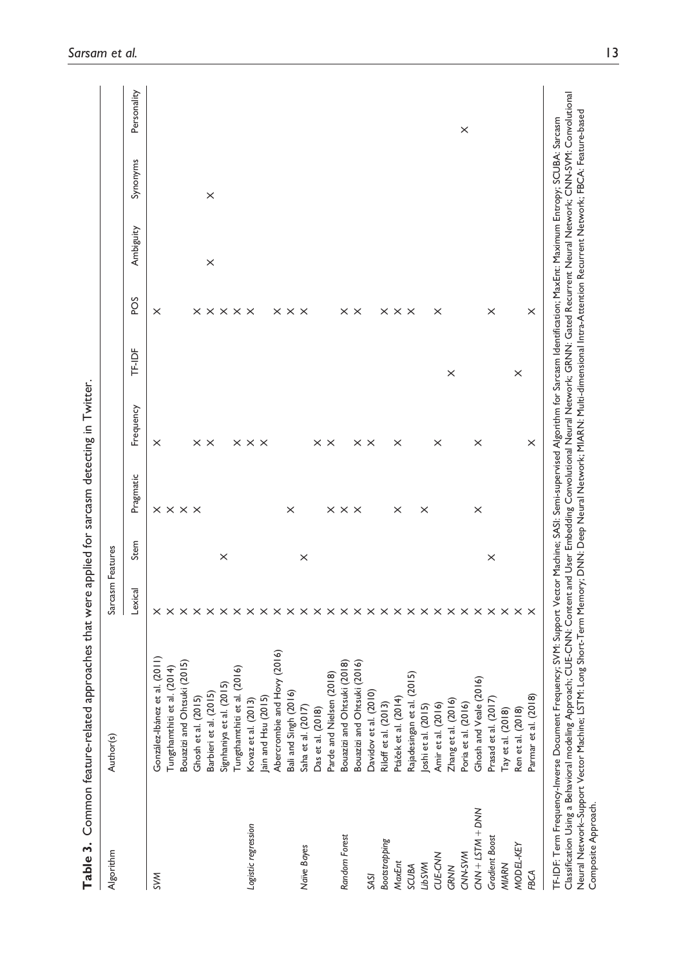| Algorithm             | Author(s)                                 | Sarcasm Features |          |                               |                            |          |                                              |           |          |             |
|-----------------------|-------------------------------------------|------------------|----------|-------------------------------|----------------------------|----------|----------------------------------------------|-----------|----------|-------------|
|                       |                                           | Lexical          | Stem     | Pragmatic                     | Frequency                  | TF-IDF   | SOd                                          | Ambiguity | Synonyms | Personality |
| <b>SVM</b>            | González-Ibánez et al. (2011)             |                  |          |                               | $\times$                   |          | $\times$                                     |           |          |             |
|                       | Tungthamthiti et al. (2014)               |                  |          | $\times \times \times \times$ |                            |          |                                              |           |          |             |
|                       | Bouazizi and Ohtsuki (2015)               |                  |          |                               |                            |          |                                              |           |          |             |
|                       | Ghosh et al. (2015)                       |                  |          |                               | $\times$ $\times$          |          |                                              |           |          |             |
|                       | Barbieri et al. (2015)                    |                  |          |                               |                            |          |                                              | $\times$  | $\times$ |             |
|                       | Signhaniya et al. (2015)                  |                  | $\times$ |                               |                            |          |                                              |           |          |             |
|                       | Tungthamthiti et al. (2016)               |                  |          |                               |                            |          | $\times$ $\times$ $\times$ $\times$ $\times$ |           |          |             |
| Logistic regression   | Kovaz et al. (2013)                       |                  |          |                               | $\times$ $\times$ $\times$ |          |                                              |           |          |             |
|                       | Jain and Hsu (2015)                       |                  |          |                               |                            |          |                                              |           |          |             |
|                       | Abercrombie and Hovy (2016)               |                  |          |                               |                            |          |                                              |           |          |             |
|                       | Bali and Singh (2016)                     |                  |          | $\times$                      |                            |          | $\times$ $\times$ $\times$                   |           |          |             |
| Naïve Bayes           | Saha et al. (2017)                        |                  | ×        |                               |                            |          |                                              |           |          |             |
|                       | Das et al. (2018)                         |                  |          |                               |                            |          |                                              |           |          |             |
|                       | Parde and Nielsen (2018)                  |                  |          |                               | $\times$ $\times$          |          |                                              |           |          |             |
| Random Forest         | Bouazizi and Ohtsuki (2018)               |                  |          | $\times$ $\times$ $\times$    |                            |          |                                              |           |          |             |
|                       | Bouazizi and Ohtsuki (2016)               |                  |          |                               |                            |          | $\times$ $\times$                            |           |          |             |
| SASI                  | (2010)<br>Davidov et al.                  |                  |          |                               | $\times$ $\times$          |          |                                              |           |          |             |
| Bootstrapping         | Riloff et al. (2013)                      |                  |          |                               |                            |          |                                              |           |          |             |
| MaxEnt                | Ptáček et al. (2014)                      |                  |          | $\times$                      | ×                          |          | $\times$ $\times$ $\times$                   |           |          |             |
| SCUBA                 | Rajadesingan et al. (2015)                |                  |          |                               |                            |          |                                              |           |          |             |
| <b>LibSVM</b>         |                                           |                  |          | ×                             |                            |          |                                              |           |          |             |
| CUE-CNN               | Joshi et al. (2015)<br>Amir et al. (2016) |                  |          |                               | $\times$                   |          | $\times$                                     |           |          |             |
| GRNN                  | Zhang et al. (2016)                       |                  |          |                               |                            | $\times$ |                                              |           |          |             |
| CNN-SVM               | Poria et al. (2016)                       |                  |          |                               |                            |          |                                              |           |          | ×           |
| $CNN + LSTM + DNN$    | Ghosh and Veale (2016)                    |                  |          | $\times$                      | $\times$                   |          |                                              |           |          |             |
| <b>Gradient Boost</b> | Prasad et al. (2017)                      |                  | $\times$ |                               |                            |          | $\times$                                     |           |          |             |
| MIARN                 | Tay et al. (2018)                         |                  |          |                               |                            |          |                                              |           |          |             |
| MODEL-KEY             | Ren et al. (2018)                         |                  |          |                               |                            | $\times$ |                                              |           |          |             |
| <b>FBCA</b>           | Parmar et al. (2018)                      |                  |          |                               | $\times$                   |          | $\times$                                     |           |          |             |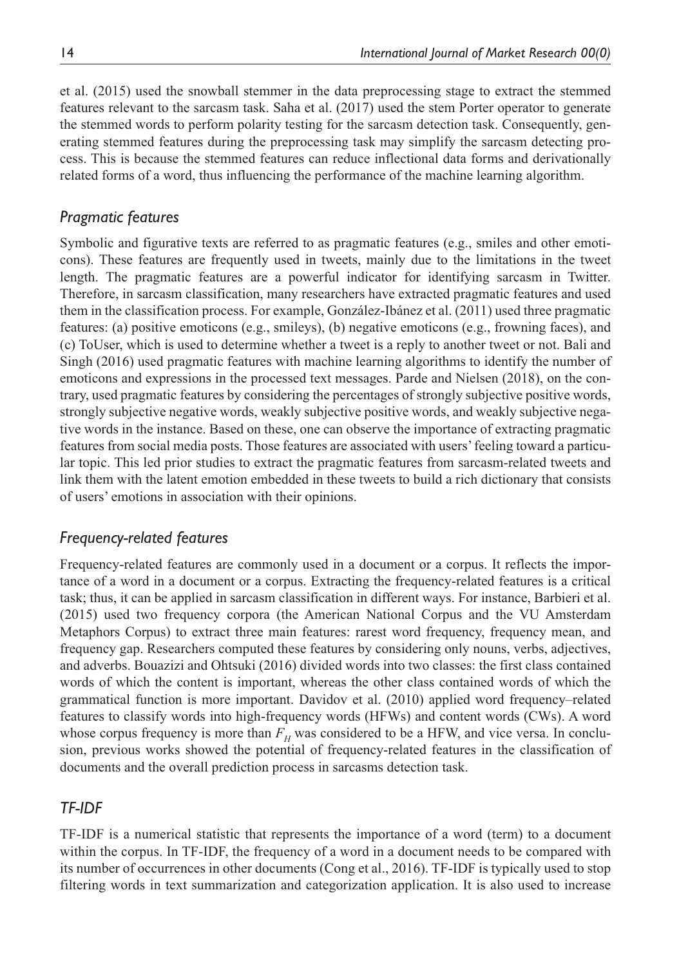et al. (2015) used the snowball stemmer in the data preprocessing stage to extract the stemmed features relevant to the sarcasm task. Saha et al. (2017) used the stem Porter operator to generate the stemmed words to perform polarity testing for the sarcasm detection task. Consequently, generating stemmed features during the preprocessing task may simplify the sarcasm detecting process. This is because the stemmed features can reduce inflectional data forms and derivationally related forms of a word, thus influencing the performance of the machine learning algorithm.

## *Pragmatic features*

Symbolic and figurative texts are referred to as pragmatic features (e.g., smiles and other emoticons). These features are frequently used in tweets, mainly due to the limitations in the tweet length. The pragmatic features are a powerful indicator for identifying sarcasm in Twitter. Therefore, in sarcasm classification, many researchers have extracted pragmatic features and used them in the classification process. For example, González-Ibánez et al. (2011) used three pragmatic features: (a) positive emoticons (e.g., smileys), (b) negative emoticons (e.g., frowning faces), and (c) ToUser, which is used to determine whether a tweet is a reply to another tweet or not. Bali and Singh (2016) used pragmatic features with machine learning algorithms to identify the number of emoticons and expressions in the processed text messages. Parde and Nielsen (2018), on the contrary, used pragmatic features by considering the percentages of strongly subjective positive words, strongly subjective negative words, weakly subjective positive words, and weakly subjective negative words in the instance. Based on these, one can observe the importance of extracting pragmatic features from social media posts. Those features are associated with users' feeling toward a particular topic. This led prior studies to extract the pragmatic features from sarcasm-related tweets and link them with the latent emotion embedded in these tweets to build a rich dictionary that consists of users' emotions in association with their opinions.

## *Frequency-related features*

Frequency-related features are commonly used in a document or a corpus. It reflects the importance of a word in a document or a corpus. Extracting the frequency-related features is a critical task; thus, it can be applied in sarcasm classification in different ways. For instance, Barbieri et al. (2015) used two frequency corpora (the American National Corpus and the VU Amsterdam Metaphors Corpus) to extract three main features: rarest word frequency, frequency mean, and frequency gap. Researchers computed these features by considering only nouns, verbs, adjectives, and adverbs. Bouazizi and Ohtsuki (2016) divided words into two classes: the first class contained words of which the content is important, whereas the other class contained words of which the grammatical function is more important. Davidov et al. (2010) applied word frequency–related features to classify words into high-frequency words (HFWs) and content words (CWs). A word whose corpus frequency is more than  $F_H$  was considered to be a HFW, and vice versa. In conclusion, previous works showed the potential of frequency-related features in the classification of documents and the overall prediction process in sarcasms detection task.

#### *TF-IDF*

TF-IDF is a numerical statistic that represents the importance of a word (term) to a document within the corpus. In TF-IDF, the frequency of a word in a document needs to be compared with its number of occurrences in other documents (Cong et al., 2016). TF-IDF is typically used to stop filtering words in text summarization and categorization application. It is also used to increase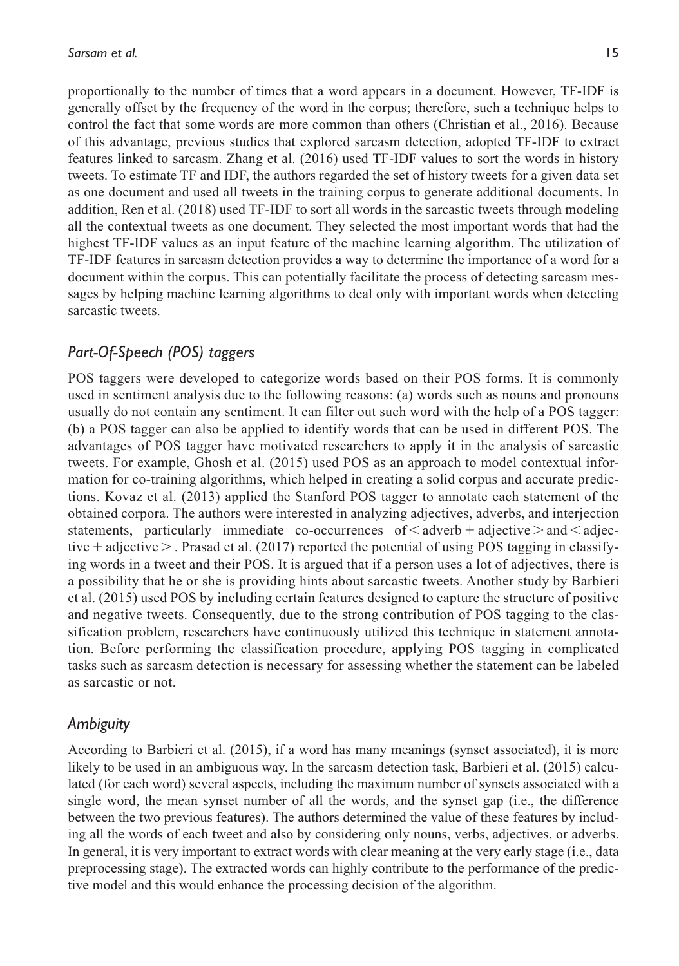proportionally to the number of times that a word appears in a document. However, TF-IDF is generally offset by the frequency of the word in the corpus; therefore, such a technique helps to control the fact that some words are more common than others (Christian et al., 2016). Because of this advantage, previous studies that explored sarcasm detection, adopted TF-IDF to extract features linked to sarcasm. Zhang et al. (2016) used TF-IDF values to sort the words in history tweets. To estimate TF and IDF, the authors regarded the set of history tweets for a given data set as one document and used all tweets in the training corpus to generate additional documents. In addition, Ren et al. (2018) used TF-IDF to sort all words in the sarcastic tweets through modeling all the contextual tweets as one document. They selected the most important words that had the highest TF-IDF values as an input feature of the machine learning algorithm. The utilization of TF-IDF features in sarcasm detection provides a way to determine the importance of a word for a document within the corpus. This can potentially facilitate the process of detecting sarcasm messages by helping machine learning algorithms to deal only with important words when detecting sarcastic tweets.

## *Part-Of-Speech (POS) taggers*

POS taggers were developed to categorize words based on their POS forms. It is commonly used in sentiment analysis due to the following reasons: (a) words such as nouns and pronouns usually do not contain any sentiment. It can filter out such word with the help of a POS tagger: (b) a POS tagger can also be applied to identify words that can be used in different POS. The advantages of POS tagger have motivated researchers to apply it in the analysis of sarcastic tweets. For example, Ghosh et al. (2015) used POS as an approach to model contextual information for co-training algorithms, which helped in creating a solid corpus and accurate predictions. Kovaz et al. (2013) applied the Stanford POS tagger to annotate each statement of the obtained corpora. The authors were interested in analyzing adjectives, adverbs, and interjection statements, particularly immediate co-occurrences of  $\leq$  adverb + adjective  $>$  and  $\leq$  adjective  $+$  adjective  $>$  . Prasad et al. (2017) reported the potential of using POS tagging in classifying words in a tweet and their POS. It is argued that if a person uses a lot of adjectives, there is a possibility that he or she is providing hints about sarcastic tweets. Another study by Barbieri et al. (2015) used POS by including certain features designed to capture the structure of positive and negative tweets. Consequently, due to the strong contribution of POS tagging to the classification problem, researchers have continuously utilized this technique in statement annotation. Before performing the classification procedure, applying POS tagging in complicated tasks such as sarcasm detection is necessary for assessing whether the statement can be labeled as sarcastic or not.

#### *Ambiguity*

According to Barbieri et al. (2015), if a word has many meanings (synset associated), it is more likely to be used in an ambiguous way. In the sarcasm detection task, Barbieri et al. (2015) calculated (for each word) several aspects, including the maximum number of synsets associated with a single word, the mean synset number of all the words, and the synset gap (i.e., the difference between the two previous features). The authors determined the value of these features by including all the words of each tweet and also by considering only nouns, verbs, adjectives, or adverbs. In general, it is very important to extract words with clear meaning at the very early stage (i.e., data preprocessing stage). The extracted words can highly contribute to the performance of the predictive model and this would enhance the processing decision of the algorithm.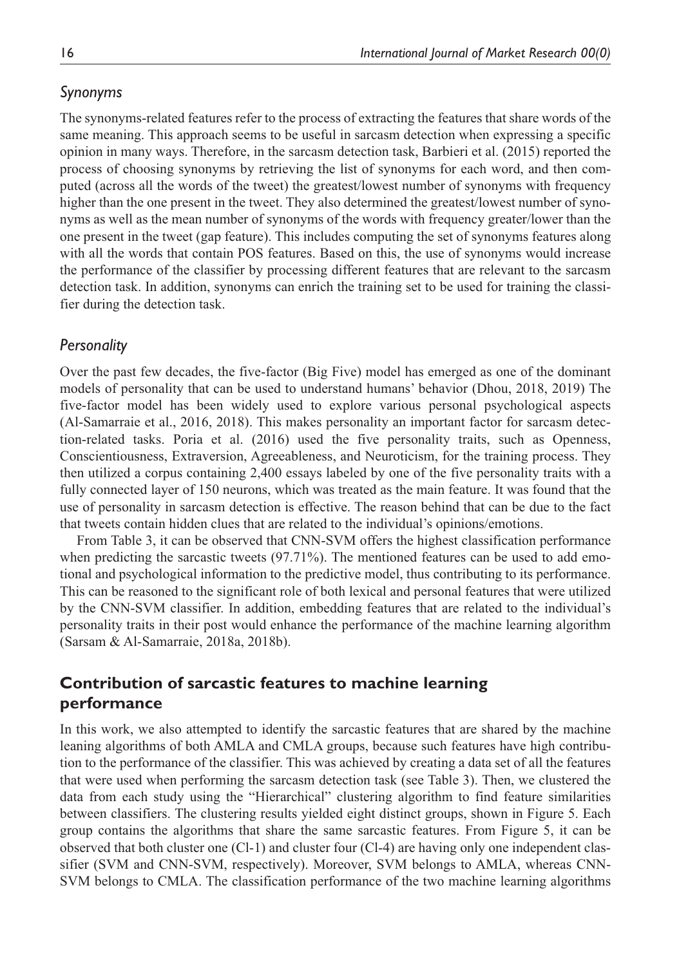## *Synonyms*

The synonyms-related features refer to the process of extracting the features that share words of the same meaning. This approach seems to be useful in sarcasm detection when expressing a specific opinion in many ways. Therefore, in the sarcasm detection task, Barbieri et al. (2015) reported the process of choosing synonyms by retrieving the list of synonyms for each word, and then computed (across all the words of the tweet) the greatest/lowest number of synonyms with frequency higher than the one present in the tweet. They also determined the greatest/lowest number of synonyms as well as the mean number of synonyms of the words with frequency greater/lower than the one present in the tweet (gap feature). This includes computing the set of synonyms features along with all the words that contain POS features. Based on this, the use of synonyms would increase the performance of the classifier by processing different features that are relevant to the sarcasm detection task. In addition, synonyms can enrich the training set to be used for training the classifier during the detection task.

## *Personality*

Over the past few decades, the five-factor (Big Five) model has emerged as one of the dominant models of personality that can be used to understand humans' behavior (Dhou, 2018, 2019) The five-factor model has been widely used to explore various personal psychological aspects (Al-Samarraie et al., 2016, 2018). This makes personality an important factor for sarcasm detection-related tasks. Poria et al. (2016) used the five personality traits, such as Openness, Conscientiousness, Extraversion, Agreeableness, and Neuroticism, for the training process. They then utilized a corpus containing 2,400 essays labeled by one of the five personality traits with a fully connected layer of 150 neurons, which was treated as the main feature. It was found that the use of personality in sarcasm detection is effective. The reason behind that can be due to the fact that tweets contain hidden clues that are related to the individual's opinions/emotions.

From Table 3, it can be observed that CNN-SVM offers the highest classification performance when predicting the sarcastic tweets (97.71%). The mentioned features can be used to add emotional and psychological information to the predictive model, thus contributing to its performance. This can be reasoned to the significant role of both lexical and personal features that were utilized by the CNN-SVM classifier. In addition, embedding features that are related to the individual's personality traits in their post would enhance the performance of the machine learning algorithm (Sarsam & Al-Samarraie, 2018a, 2018b).

# **Contribution of sarcastic features to machine learning performance**

In this work, we also attempted to identify the sarcastic features that are shared by the machine leaning algorithms of both AMLA and CMLA groups, because such features have high contribution to the performance of the classifier. This was achieved by creating a data set of all the features that were used when performing the sarcasm detection task (see Table 3). Then, we clustered the data from each study using the "Hierarchical" clustering algorithm to find feature similarities between classifiers. The clustering results yielded eight distinct groups, shown in Figure 5. Each group contains the algorithms that share the same sarcastic features. From Figure 5, it can be observed that both cluster one (Cl-1) and cluster four (Cl-4) are having only one independent classifier (SVM and CNN-SVM, respectively). Moreover, SVM belongs to AMLA, whereas CNN-SVM belongs to CMLA. The classification performance of the two machine learning algorithms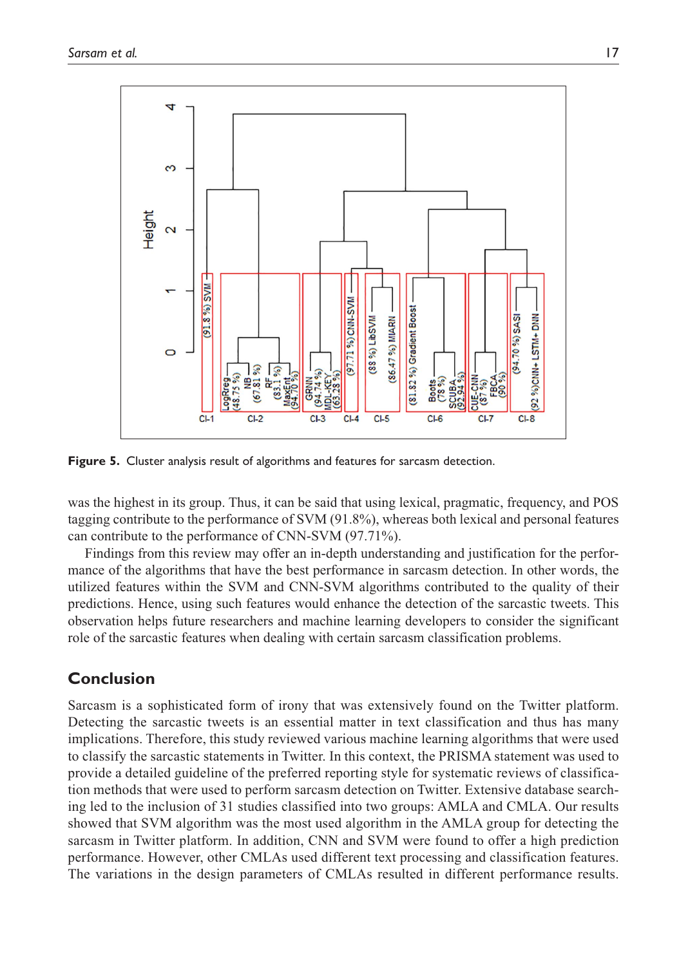

**Figure 5.** Cluster analysis result of algorithms and features for sarcasm detection.

was the highest in its group. Thus, it can be said that using lexical, pragmatic, frequency, and POS tagging contribute to the performance of SVM (91.8%), whereas both lexical and personal features can contribute to the performance of CNN-SVM (97.71%).

Findings from this review may offer an in-depth understanding and justification for the performance of the algorithms that have the best performance in sarcasm detection. In other words, the utilized features within the SVM and CNN-SVM algorithms contributed to the quality of their predictions. Hence, using such features would enhance the detection of the sarcastic tweets. This observation helps future researchers and machine learning developers to consider the significant role of the sarcastic features when dealing with certain sarcasm classification problems.

# **Conclusion**

Sarcasm is a sophisticated form of irony that was extensively found on the Twitter platform. Detecting the sarcastic tweets is an essential matter in text classification and thus has many implications. Therefore, this study reviewed various machine learning algorithms that were used to classify the sarcastic statements in Twitter. In this context, the PRISMA statement was used to provide a detailed guideline of the preferred reporting style for systematic reviews of classification methods that were used to perform sarcasm detection on Twitter. Extensive database searching led to the inclusion of 31 studies classified into two groups: AMLA and CMLA. Our results showed that SVM algorithm was the most used algorithm in the AMLA group for detecting the sarcasm in Twitter platform. In addition, CNN and SVM were found to offer a high prediction performance. However, other CMLAs used different text processing and classification features. The variations in the design parameters of CMLAs resulted in different performance results.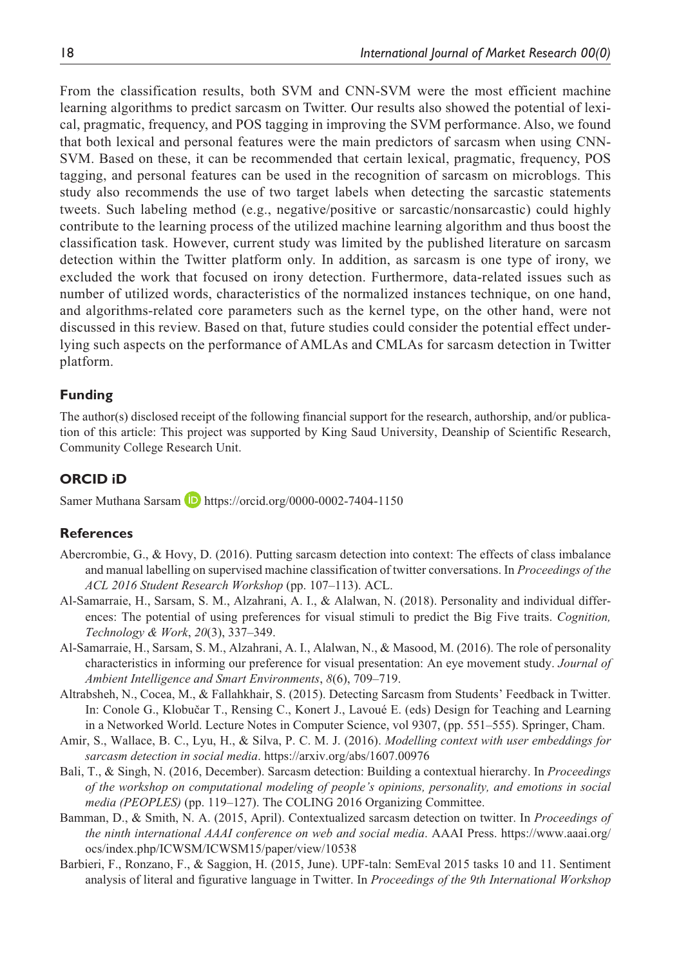From the classification results, both SVM and CNN-SVM were the most efficient machine learning algorithms to predict sarcasm on Twitter. Our results also showed the potential of lexical, pragmatic, frequency, and POS tagging in improving the SVM performance. Also, we found that both lexical and personal features were the main predictors of sarcasm when using CNN-SVM. Based on these, it can be recommended that certain lexical, pragmatic, frequency, POS tagging, and personal features can be used in the recognition of sarcasm on microblogs. This study also recommends the use of two target labels when detecting the sarcastic statements tweets. Such labeling method (e.g., negative/positive or sarcastic/nonsarcastic) could highly contribute to the learning process of the utilized machine learning algorithm and thus boost the classification task. However, current study was limited by the published literature on sarcasm detection within the Twitter platform only. In addition, as sarcasm is one type of irony, we excluded the work that focused on irony detection. Furthermore, data-related issues such as number of utilized words, characteristics of the normalized instances technique, on one hand, and algorithms-related core parameters such as the kernel type, on the other hand, were not discussed in this review. Based on that, future studies could consider the potential effect underlying such aspects on the performance of AMLAs and CMLAs for sarcasm detection in Twitter platform.

#### **Funding**

The author(s) disclosed receipt of the following financial support for the research, authorship, and/or publication of this article: This project was supported by King Saud University, Deanship of Scientific Research, Community College Research Unit.

#### **ORCID iD**

Samer Muthana Sarsam D <https://orcid.org/0000-0002-7404-1150>

#### **References**

- Abercrombie, G., & Hovy, D. (2016). Putting sarcasm detection into context: The effects of class imbalance and manual labelling on supervised machine classification of twitter conversations. In *Proceedings of the ACL 2016 Student Research Workshop* (pp. 107–113). ACL.
- Al-Samarraie, H., Sarsam, S. M., Alzahrani, A. I., & Alalwan, N. (2018). Personality and individual differences: The potential of using preferences for visual stimuli to predict the Big Five traits. *Cognition, Technology & Work*, *20*(3), 337–349.
- Al-Samarraie, H., Sarsam, S. M., Alzahrani, A. I., Alalwan, N., & Masood, M. (2016). The role of personality characteristics in informing our preference for visual presentation: An eye movement study. *Journal of Ambient Intelligence and Smart Environments*, *8*(6), 709–719.
- Altrabsheh, N., Cocea, M., & Fallahkhair, S. (2015). Detecting Sarcasm from Students' Feedback in Twitter. In: Conole G., Klobučar T., Rensing C., Konert J., Lavoué E. (eds) Design for Teaching and Learning in a Networked World. Lecture Notes in Computer Science, vol 9307, (pp. 551–555). Springer, Cham.
- Amir, S., Wallace, B. C., Lyu, H., & Silva, P. C. M. J. (2016). *Modelling context with user embeddings for sarcasm detection in social media*. <https://arxiv.org/abs/1607.00976>
- Bali, T., & Singh, N. (2016, December). Sarcasm detection: Building a contextual hierarchy. In *Proceedings of the workshop on computational modeling of people's opinions, personality, and emotions in social media (PEOPLES)* (pp. 119–127). The COLING 2016 Organizing Committee.
- Bamman, D., & Smith, N. A. (2015, April). Contextualized sarcasm detection on twitter. In *Proceedings of the ninth international AAAI conference on web and social media*. AAAI Press. [https://www.aaai.org/](https://www.aaai.org/ocs/index.php/ICWSM/ICWSM15/paper/view/10538) [ocs/index.php/ICWSM/ICWSM15/paper/view/10538](https://www.aaai.org/ocs/index.php/ICWSM/ICWSM15/paper/view/10538)
- Barbieri, F., Ronzano, F., & Saggion, H. (2015, June). UPF-taln: SemEval 2015 tasks 10 and 11. Sentiment analysis of literal and figurative language in Twitter. In *Proceedings of the 9th International Workshop*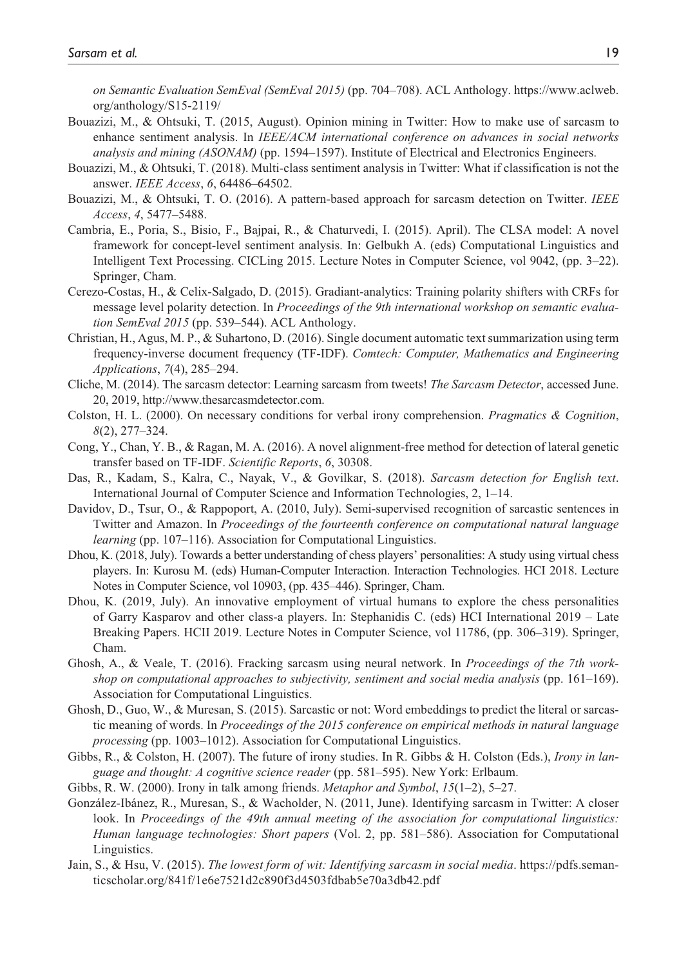*on Semantic Evaluation SemEval (SemEval 2015)* (pp. 704–708). ACL Anthology. [https://www.aclweb.](https://www.aclweb.org/anthology/S15-2119/) [org/anthology/S15-2119/](https://www.aclweb.org/anthology/S15-2119/)

- Bouazizi, M., & Ohtsuki, T. (2015, August). Opinion mining in Twitter: How to make use of sarcasm to enhance sentiment analysis. In *IEEE/ACM international conference on advances in social networks analysis and mining (ASONAM)* (pp. 1594–1597). Institute of Electrical and Electronics Engineers.
- Bouazizi, M., & Ohtsuki, T. (2018). Multi-class sentiment analysis in Twitter: What if classification is not the answer. *IEEE Access*, *6*, 64486–64502.
- Bouazizi, M., & Ohtsuki, T. O. (2016). A pattern-based approach for sarcasm detection on Twitter. *IEEE Access*, *4*, 5477–5488.
- Cambria, E., Poria, S., Bisio, F., Bajpai, R., & Chaturvedi, I. (2015). April). The CLSA model: A novel framework for concept-level sentiment analysis. In: Gelbukh A. (eds) Computational Linguistics and Intelligent Text Processing. CICLing 2015. Lecture Notes in Computer Science, vol 9042, (pp. 3–22). Springer, Cham.
- Cerezo-Costas, H., & Celix-Salgado, D. (2015). Gradiant-analytics: Training polarity shifters with CRFs for message level polarity detection. In *Proceedings of the 9th international workshop on semantic evaluation SemEval 2015* (pp. 539–544). ACL Anthology.
- Christian, H., Agus, M. P., & Suhartono, D. (2016). Single document automatic text summarization using term frequency-inverse document frequency (TF-IDF). *Comtech: Computer, Mathematics and Engineering Applications*, *7*(4), 285–294.
- Cliche, M. (2014). The sarcasm detector: Learning sarcasm from tweets! *The Sarcasm Detector*, accessed June. 20, 2019, http://www.thesarcasmdetector.com.
- Colston, H. L. (2000). On necessary conditions for verbal irony comprehension. *Pragmatics & Cognition*, *8*(2), 277–324.
- Cong, Y., Chan, Y. B., & Ragan, M. A. (2016). A novel alignment-free method for detection of lateral genetic transfer based on TF-IDF. *Scientific Reports*, *6*, 30308.
- Das, R., Kadam, S., Kalra, C., Nayak, V., & Govilkar, S. (2018). *Sarcasm detection for English text*. International Journal of Computer Science and Information Technologies, 2, 1–14.
- Davidov, D., Tsur, O., & Rappoport, A. (2010, July). Semi-supervised recognition of sarcastic sentences in Twitter and Amazon. In *Proceedings of the fourteenth conference on computational natural language learning* (pp. 107–116). Association for Computational Linguistics.
- Dhou, K. (2018, July). Towards a better understanding of chess players' personalities: A study using virtual chess players. In: Kurosu M. (eds) Human-Computer Interaction. Interaction Technologies. HCI 2018. Lecture Notes in Computer Science, vol 10903, (pp. 435–446). Springer, Cham.
- Dhou, K. (2019, July). An innovative employment of virtual humans to explore the chess personalities of Garry Kasparov and other class-a players. In: Stephanidis C. (eds) HCI International 2019 – Late Breaking Papers. HCII 2019. Lecture Notes in Computer Science, vol 11786, (pp. 306–319). Springer, Cham.
- Ghosh, A., & Veale, T. (2016). Fracking sarcasm using neural network. In *Proceedings of the 7th workshop on computational approaches to subjectivity, sentiment and social media analysis* (pp. 161–169). Association for Computational Linguistics.
- Ghosh, D., Guo, W., & Muresan, S. (2015). Sarcastic or not: Word embeddings to predict the literal or sarcastic meaning of words. In *Proceedings of the 2015 conference on empirical methods in natural language processing* (pp. 1003–1012). Association for Computational Linguistics.
- Gibbs, R., & Colston, H. (2007). The future of irony studies. In R. Gibbs & H. Colston (Eds.), *Irony in language and thought: A cognitive science reader* (pp. 581–595). New York: Erlbaum.
- Gibbs, R. W. (2000). Irony in talk among friends. *Metaphor and Symbol*, *15*(1–2), 5–27.
- González-Ibánez, R., Muresan, S., & Wacholder, N. (2011, June). Identifying sarcasm in Twitter: A closer look. In *Proceedings of the 49th annual meeting of the association for computational linguistics: Human language technologies: Short papers* (Vol. 2, pp. 581–586). Association for Computational Linguistics.
- Jain, S., & Hsu, V. (2015). *The lowest form of wit: Identifying sarcasm in social media*. [https://pdfs.seman](https://pdfs.semanticscholar.org/841f/1e6e7521d2c890f3d4503fdbab5e70a3db42.pdf)[ticscholar.org/841f/1e6e7521d2c890f3d4503fdbab5e70a3db42.pdf](https://pdfs.semanticscholar.org/841f/1e6e7521d2c890f3d4503fdbab5e70a3db42.pdf)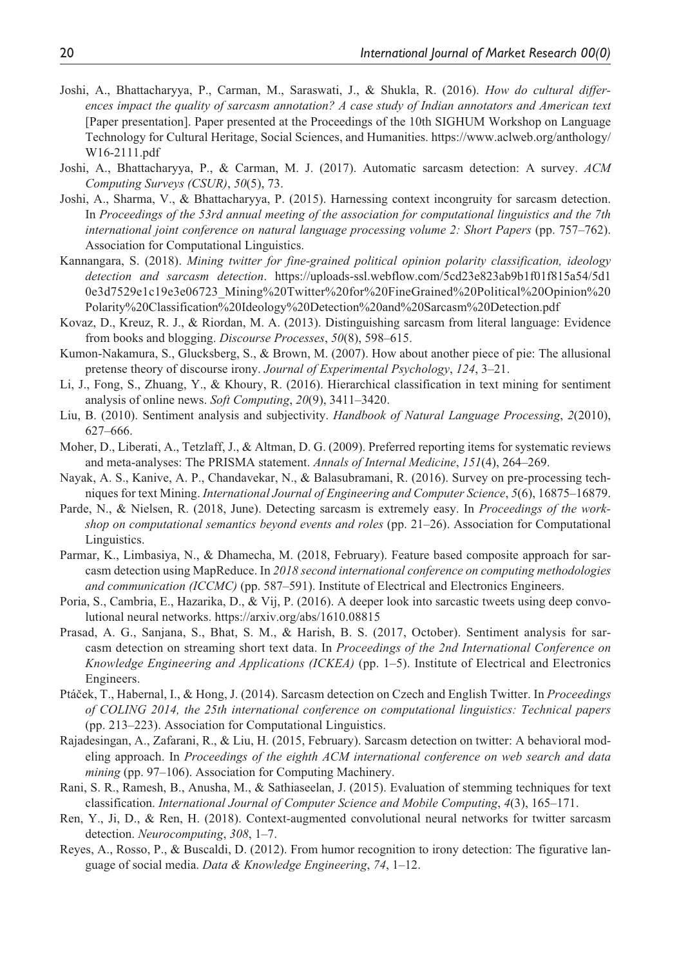- Joshi, A., Bhattacharyya, P., Carman, M., Saraswati, J., & Shukla, R. (2016). *How do cultural differences impact the quality of sarcasm annotation? A case study of Indian annotators and American text* [Paper presentation]. Paper presented at the Proceedings of the 10th SIGHUM Workshop on Language Technology for Cultural Heritage, Social Sciences, and Humanities. [https://www.aclweb.org/anthology/](https://www.aclweb.org/anthology/W16-2111.pdf) [W16-2111.pdf](https://www.aclweb.org/anthology/W16-2111.pdf)
- Joshi, A., Bhattacharyya, P., & Carman, M. J. (2017). Automatic sarcasm detection: A survey. *ACM Computing Surveys (CSUR)*, *50*(5), 73.
- Joshi, A., Sharma, V., & Bhattacharyya, P. (2015). Harnessing context incongruity for sarcasm detection. In *Proceedings of the 53rd annual meeting of the association for computational linguistics and the 7th international joint conference on natural language processing volume 2: Short Papers* (pp. 757–762). Association for Computational Linguistics.
- Kannangara, S. (2018). *Mining twitter for fine-grained political opinion polarity classification, ideology detection and sarcasm detection*. [https://uploads-ssl.webflow.com/5cd23e823ab9b1f01f815a54/5d1](https://uploads-ssl.webflow.com/5cd23e823ab9b1f01f815a54/5d10e3d7529e1c19e3e06723_Mining%20Twitter%20for%20FineGrained%20Political%20Opinion%20Polarity%20Classification%20Ideology%20Detection%20and%20Sarcasm%20Detection.pdf) [0e3d7529e1c19e3e06723\\_Mining%20Twitter%20for%20FineGrained%20Political%20Opinion%20](https://uploads-ssl.webflow.com/5cd23e823ab9b1f01f815a54/5d10e3d7529e1c19e3e06723_Mining%20Twitter%20for%20FineGrained%20Political%20Opinion%20Polarity%20Classification%20Ideology%20Detection%20and%20Sarcasm%20Detection.pdf) [Polarity%20Classification%20Ideology%20Detection%20and%20Sarcasm%20Detection.pdf](https://uploads-ssl.webflow.com/5cd23e823ab9b1f01f815a54/5d10e3d7529e1c19e3e06723_Mining%20Twitter%20for%20FineGrained%20Political%20Opinion%20Polarity%20Classification%20Ideology%20Detection%20and%20Sarcasm%20Detection.pdf)
- Kovaz, D., Kreuz, R. J., & Riordan, M. A. (2013). Distinguishing sarcasm from literal language: Evidence from books and blogging. *Discourse Processes*, *50*(8), 598–615.
- Kumon-Nakamura, S., Glucksberg, S., & Brown, M. (2007). How about another piece of pie: The allusional pretense theory of discourse irony. *Journal of Experimental Psychology*, *124*, 3–21.
- Li, J., Fong, S., Zhuang, Y., & Khoury, R. (2016). Hierarchical classification in text mining for sentiment analysis of online news. *Soft Computing*, *20*(9), 3411–3420.
- Liu, B. (2010). Sentiment analysis and subjectivity. *Handbook of Natural Language Processing*, *2*(2010), 627–666.
- Moher, D., Liberati, A., Tetzlaff, J., & Altman, D. G. (2009). Preferred reporting items for systematic reviews and meta-analyses: The PRISMA statement. *Annals of Internal Medicine*, *151*(4), 264–269.
- Nayak, A. S., Kanive, A. P., Chandavekar, N., & Balasubramani, R. (2016). Survey on pre-processing techniques for text Mining. *International Journal of Engineering and Computer Science*, *5*(6), 16875–16879.
- Parde, N., & Nielsen, R. (2018, June). Detecting sarcasm is extremely easy. In *Proceedings of the workshop on computational semantics beyond events and roles* (pp. 21–26). Association for Computational Linguistics.
- Parmar, K., Limbasiya, N., & Dhamecha, M. (2018, February). Feature based composite approach for sarcasm detection using MapReduce. In *2018 second international conference on computing methodologies and communication (ICCMC)* (pp. 587–591). Institute of Electrical and Electronics Engineers.
- Poria, S., Cambria, E., Hazarika, D., & Vij, P. (2016). A deeper look into sarcastic tweets using deep convolutional neural networks. <https://arxiv.org/abs/1610.08815>
- Prasad, A. G., Sanjana, S., Bhat, S. M., & Harish, B. S. (2017, October). Sentiment analysis for sarcasm detection on streaming short text data. In *Proceedings of the 2nd International Conference on Knowledge Engineering and Applications (ICKEA)* (pp. 1–5). Institute of Electrical and Electronics Engineers.
- Ptáček, T., Habernal, I., & Hong, J. (2014). Sarcasm detection on Czech and English Twitter. In *Proceedings of COLING 2014, the 25th international conference on computational linguistics: Technical papers* (pp. 213–223). Association for Computational Linguistics.
- Rajadesingan, A., Zafarani, R., & Liu, H. (2015, February). Sarcasm detection on twitter: A behavioral modeling approach. In *Proceedings of the eighth ACM international conference on web search and data mining* (pp. 97–106). Association for Computing Machinery.
- Rani, S. R., Ramesh, B., Anusha, M., & Sathiaseelan, J. (2015). Evaluation of stemming techniques for text classification. *International Journal of Computer Science and Mobile Computing*, *4*(3), 165–171.
- Ren, Y., Ji, D., & Ren, H. (2018). Context-augmented convolutional neural networks for twitter sarcasm detection. *Neurocomputing*, *308*, 1–7.
- Reyes, A., Rosso, P., & Buscaldi, D. (2012). From humor recognition to irony detection: The figurative language of social media. *Data & Knowledge Engineering*, *74*, 1–12.